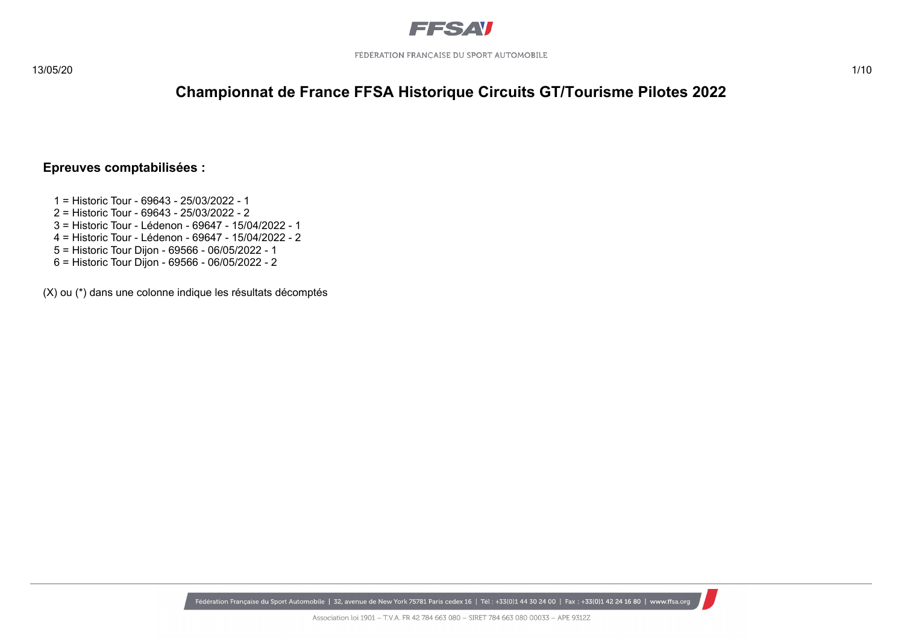

#### **Epreuves comptabilisées :**

- 1 = Historic Tour 69643 25/03/2022 1
- 2 = Historic Tour 69643 25/03/2022 2
- 3 = Historic Tour Lédenon 69647 15/04/2022 1
- 4 = Historic Tour Lédenon 69647 15/04/2022 2
- 5 = Historic Tour Dijon 69566 06/05/2022 1
- 6 = Historic Tour Dijon 69566 06/05/2022 2

(X) ou (\*) dans une colonne indique les résultats décomptés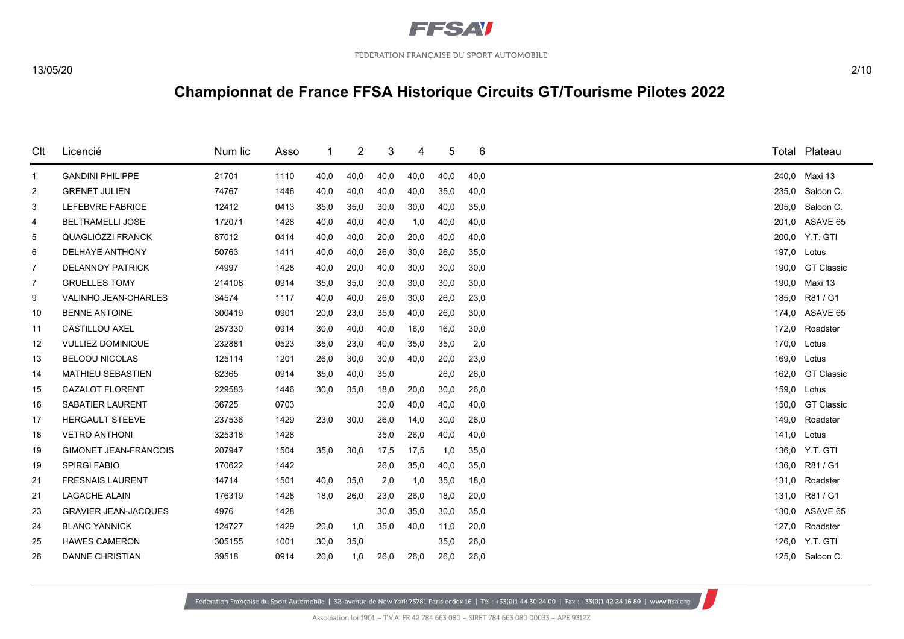

| Clt          | Licencié                     | Num lic | Asso |      | 2    | 3    | 4    | 5    | 6    |       | Total Plateau     |
|--------------|------------------------------|---------|------|------|------|------|------|------|------|-------|-------------------|
| $\mathbf{1}$ | <b>GANDINI PHILIPPE</b>      | 21701   | 1110 | 40,0 | 40,0 | 40,0 | 40,0 | 40,0 | 40,0 | 240,0 | Maxi 13           |
| 2            | <b>GRENET JULIEN</b>         | 74767   | 1446 | 40,0 | 40,0 | 40,0 | 40,0 | 35,0 | 40,0 | 235,0 | Saloon C.         |
| 3            | LEFEBVRE FABRICE             | 12412   | 0413 | 35,0 | 35,0 | 30,0 | 30,0 | 40,0 | 35,0 | 205,0 | Saloon C.         |
| 4            | <b>BELTRAMELLI JOSE</b>      | 172071  | 1428 | 40,0 | 40,0 | 40,0 | 1,0  | 40,0 | 40,0 | 201,0 | ASAVE 65          |
| 5            | <b>QUAGLIOZZI FRANCK</b>     | 87012   | 0414 | 40,0 | 40,0 | 20,0 | 20,0 | 40,0 | 40,0 | 200.0 | Y.T. GTI          |
| 6            | <b>DELHAYE ANTHONY</b>       | 50763   | 1411 | 40,0 | 40,0 | 26,0 | 30,0 | 26,0 | 35,0 | 197,0 | Lotus             |
| 7            | <b>DELANNOY PATRICK</b>      | 74997   | 1428 | 40,0 | 20,0 | 40,0 | 30,0 | 30,0 | 30,0 | 190.0 | <b>GT Classic</b> |
| 7            | <b>GRUELLES TOMY</b>         | 214108  | 0914 | 35.0 | 35,0 | 30,0 | 30,0 | 30,0 | 30,0 | 190,0 | Maxi 13           |
| 9            | <b>VALINHO JEAN-CHARLES</b>  | 34574   | 1117 | 40,0 | 40,0 | 26,0 | 30,0 | 26,0 | 23,0 | 185,0 | R81 / G1          |
| 10           | <b>BENNE ANTOINE</b>         | 300419  | 0901 | 20,0 | 23,0 | 35,0 | 40,0 | 26,0 | 30,0 | 174,0 | ASAVE 65          |
| 11           | <b>CASTILLOU AXEL</b>        | 257330  | 0914 | 30,0 | 40,0 | 40,0 | 16,0 | 16,0 | 30,0 | 172,0 | Roadster          |
| 12           | <b>VULLIEZ DOMINIQUE</b>     | 232881  | 0523 | 35,0 | 23,0 | 40,0 | 35,0 | 35,0 | 2,0  | 170,0 | Lotus             |
| 13           | <b>BELOOU NICOLAS</b>        | 125114  | 1201 | 26,0 | 30,0 | 30,0 | 40,0 | 20,0 | 23,0 | 169,0 | Lotus             |
| 14           | <b>MATHIEU SEBASTIEN</b>     | 82365   | 0914 | 35,0 | 40,0 | 35,0 |      | 26,0 | 26,0 | 162,0 | <b>GT Classic</b> |
| 15           | <b>CAZALOT FLORENT</b>       | 229583  | 1446 | 30,0 | 35,0 | 18,0 | 20,0 | 30,0 | 26,0 | 159,0 | Lotus             |
| 16           | <b>SABATIER LAURENT</b>      | 36725   | 0703 |      |      | 30,0 | 40,0 | 40,0 | 40,0 | 150,0 | <b>GT Classic</b> |
| 17           | <b>HERGAULT STEEVE</b>       | 237536  | 1429 | 23,0 | 30,0 | 26,0 | 14,0 | 30,0 | 26,0 | 149,0 | Roadster          |
| 18           | <b>VETRO ANTHONI</b>         | 325318  | 1428 |      |      | 35,0 | 26,0 | 40,0 | 40,0 | 141,0 | Lotus             |
| 19           | <b>GIMONET JEAN-FRANCOIS</b> | 207947  | 1504 | 35,0 | 30,0 | 17,5 | 17,5 | 1,0  | 35,0 | 136,0 | Y.T. GTI          |
| 19           | <b>SPIRGI FABIO</b>          | 170622  | 1442 |      |      | 26,0 | 35,0 | 40,0 | 35,0 | 136,0 | R81 / G1          |
| 21           | <b>FRESNAIS LAURENT</b>      | 14714   | 1501 | 40,0 | 35,0 | 2,0  | 1,0  | 35,0 | 18,0 | 131,0 | Roadster          |
| 21           | <b>LAGACHE ALAIN</b>         | 176319  | 1428 | 18,0 | 26,0 | 23,0 | 26,0 | 18,0 | 20,0 | 131.0 | R81/G1            |
| 23           | <b>GRAVIER JEAN-JACQUES</b>  | 4976    | 1428 |      |      | 30,0 | 35,0 | 30,0 | 35,0 | 130,0 | ASAVE 65          |
| 24           | <b>BLANC YANNICK</b>         | 124727  | 1429 | 20,0 | 1,0  | 35,0 | 40,0 | 11,0 | 20,0 | 127,0 | Roadster          |
| 25           | <b>HAWES CAMERON</b>         | 305155  | 1001 | 30,0 | 35,0 |      |      | 35,0 | 26,0 |       | 126,0 Y.T. GTI    |
| 26           | <b>DANNE CHRISTIAN</b>       | 39518   | 0914 | 20,0 | 1,0  | 26,0 | 26,0 | 26,0 | 26,0 |       | 125,0 Saloon C.   |
|              |                              |         |      |      |      |      |      |      |      |       |                   |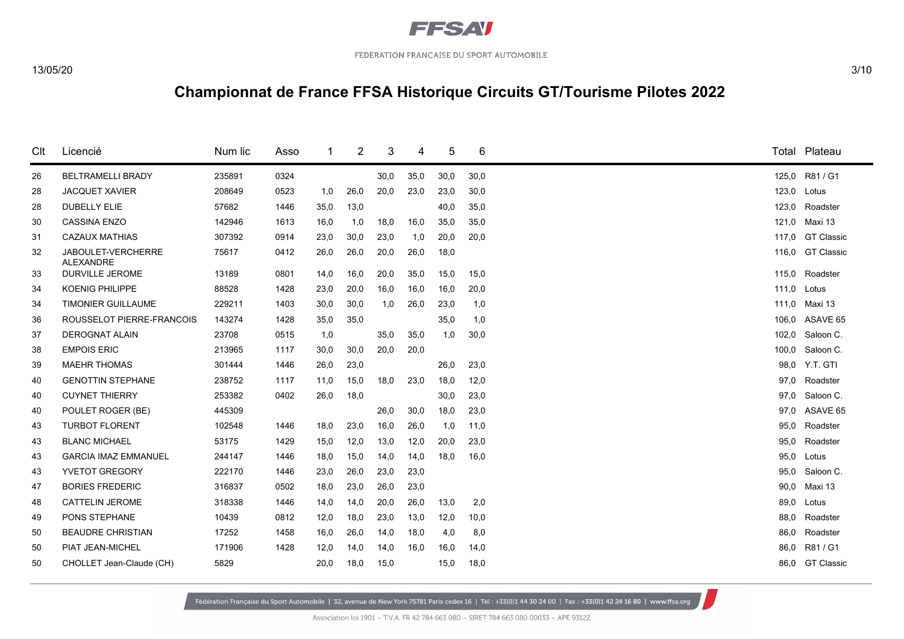

| Clt | Licencié                        | Num lic | Asso |      | 2    | 3    | 4    | 5    | 6    |       | Total Plateau     |
|-----|---------------------------------|---------|------|------|------|------|------|------|------|-------|-------------------|
| 26  | <b>BELTRAMELLI BRADY</b>        | 235891  | 0324 |      |      | 30,0 | 35,0 | 30,0 | 30,0 |       | 125,0 R81 / G1    |
| 28  | <b>JACQUET XAVIER</b>           | 208649  | 0523 | 1,0  | 26,0 | 20,0 | 23,0 | 23,0 | 30,0 | 123,0 | Lotus             |
| 28  | <b>DUBELLY ELIE</b>             | 57682   | 1446 | 35,0 | 13,0 |      |      | 40,0 | 35,0 | 123,0 | Roadster          |
| 30  | <b>CASSINA ENZO</b>             | 142946  | 1613 | 16,0 | 1,0  | 18,0 | 16,0 | 35,0 | 35,0 | 121.0 | Maxi 13           |
| 31  | <b>CAZAUX MATHIAS</b>           | 307392  | 0914 | 23,0 | 30,0 | 23,0 | 1,0  | 20,0 | 20,0 | 117,0 | <b>GT Classic</b> |
| 32  | JABOULET-VERCHERRE<br>ALEXANDRE | 75617   | 0412 | 26,0 | 26,0 | 20,0 | 26,0 | 18,0 |      | 116,0 | <b>GT Classic</b> |
| 33  | <b>DURVILLE JEROME</b>          | 13189   | 0801 | 14,0 | 16,0 | 20,0 | 35,0 | 15,0 | 15,0 | 115,0 | Roadster          |
| 34  | <b>KOENIG PHILIPPE</b>          | 88528   | 1428 | 23,0 | 20,0 | 16,0 | 16,0 | 16,0 | 20,0 | 111.0 | Lotus             |
| 34  | <b>TIMONIER GUILLAUME</b>       | 229211  | 1403 | 30,0 | 30,0 | 1,0  | 26,0 | 23,0 | 1,0  | 111.0 | Maxi 13           |
| 36  | ROUSSELOT PIERRE-FRANCOIS       | 143274  | 1428 | 35,0 | 35,0 |      |      | 35,0 | 1,0  | 106,0 | ASAVE 65          |
| 37  | <b>DEROGNAT ALAIN</b>           | 23708   | 0515 | 1,0  |      | 35,0 | 35,0 | 1,0  | 30,0 | 102,0 | Saloon C.         |
| 38  | <b>EMPOIS ERIC</b>              | 213965  | 1117 | 30,0 | 30,0 | 20,0 | 20,0 |      |      | 100,0 | Saloon C.         |
| 39  | <b>MAEHR THOMAS</b>             | 301444  | 1446 | 26,0 | 23,0 |      |      | 26,0 | 23,0 | 98,0  | Y.T. GTI          |
| 40  | <b>GENOTTIN STEPHANE</b>        | 238752  | 1117 | 11,0 | 15,0 | 18,0 | 23,0 | 18,0 | 12,0 | 97.0  | Roadster          |
| 40  | <b>CUYNET THIERRY</b>           | 253382  | 0402 | 26,0 | 18,0 |      |      | 30,0 | 23,0 | 97.0  | Saloon C.         |
| 40  | POULET ROGER (BE)               | 445309  |      |      |      | 26,0 | 30,0 | 18,0 | 23,0 | 97.0  | ASAVE 65          |
| 43  | <b>TURBOT FLORENT</b>           | 102548  | 1446 | 18,0 | 23,0 | 16,0 | 26,0 | 1,0  | 11,0 | 95.0  | Roadster          |
| 43  | <b>BLANC MICHAEL</b>            | 53175   | 1429 | 15,0 | 12,0 | 13,0 | 12,0 | 20,0 | 23,0 | 95,0  | Roadster          |
| 43  | <b>GARCIA IMAZ EMMANUEL</b>     | 244147  | 1446 | 18,0 | 15,0 | 14,0 | 14,0 | 18,0 | 16,0 | 95,0  | Lotus             |
| 43  | <b>YVETOT GREGORY</b>           | 222170  | 1446 | 23,0 | 26,0 | 23,0 | 23,0 |      |      | 95.0  | Saloon C.         |
| 47  | <b>BORIES FREDERIC</b>          | 316837  | 0502 | 18,0 | 23,0 | 26,0 | 23,0 |      |      | 90,0  | Maxi 13           |
| 48  | <b>CATTELIN JEROME</b>          | 318338  | 1446 | 14,0 | 14,0 | 20,0 | 26,0 | 13,0 | 2,0  | 89,0  | Lotus             |
| 49  | PONS STEPHANE                   | 10439   | 0812 | 12,0 | 18,0 | 23,0 | 13,0 | 12,0 | 10,0 | 88.0  | Roadster          |
| 50  | <b>BEAUDRE CHRISTIAN</b>        | 17252   | 1458 | 16,0 | 26,0 | 14,0 | 18,0 | 4,0  | 8,0  | 86,0  | Roadster          |
| 50  | PIAT JEAN-MICHEL                | 171906  | 1428 | 12,0 | 14,0 | 14,0 | 16,0 | 16,0 | 14,0 | 86.0  | R81 / G1          |
| 50  | CHOLLET Jean-Claude (CH)        | 5829    |      | 20,0 | 18,0 | 15,0 |      | 15,0 | 18,0 | 86.0  | <b>GT Classic</b> |

Fédération Française du Sport Automobile | 32, avenue de New York 75781 Paris cedex 16 | Tél: +33(0)1 44 30 24 00 | Fax: +33(0)1 42 24 16 80 | www.ffsa.org

Association loi 1901 - T.V.A. FR 42 784 663 080 - SIRET 784 663 080 00033 - APE 9312Z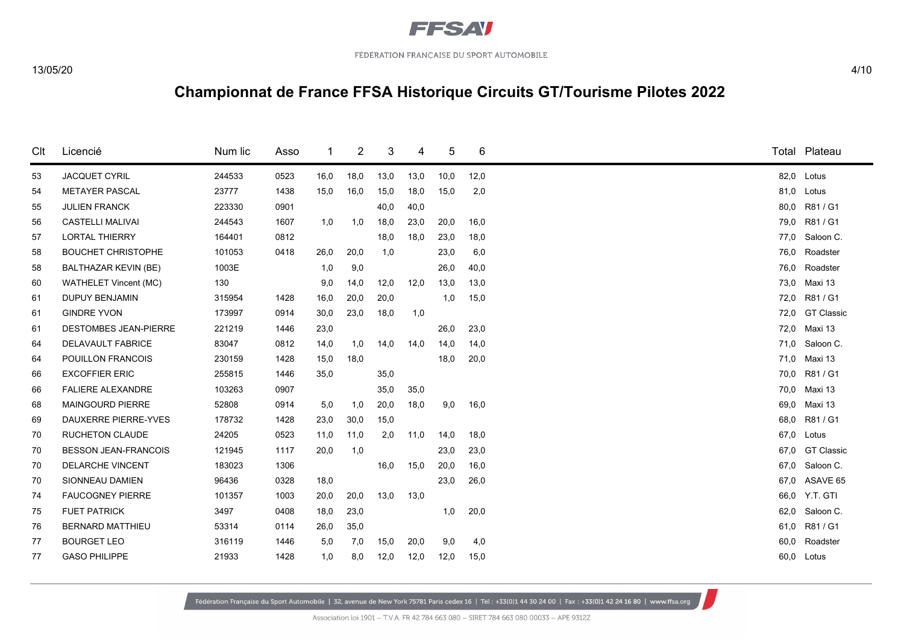

| Clt | Licencié                     | Num lic | Asso | 1    | 2    | 3    | 4    | 5    | 6    | Total | Plateau           |
|-----|------------------------------|---------|------|------|------|------|------|------|------|-------|-------------------|
| 53  | <b>JACQUET CYRIL</b>         | 244533  | 0523 | 16,0 | 18,0 | 13,0 | 13,0 | 10,0 | 12,0 | 82,0  | Lotus             |
| 54  | <b>METAYER PASCAL</b>        | 23777   | 1438 | 15,0 | 16,0 | 15,0 | 18,0 | 15,0 | 2,0  | 81,0  | Lotus             |
| 55  | <b>JULIEN FRANCK</b>         | 223330  | 0901 |      |      | 40,0 | 40,0 |      |      | 80,0  | R81 / G1          |
| 56  | <b>CASTELLI MALIVAI</b>      | 244543  | 1607 | 1,0  | 1,0  | 18,0 | 23,0 | 20,0 | 16,0 | 79,0  | R81 / G1          |
| 57  | <b>LORTAL THIERRY</b>        | 164401  | 0812 |      |      | 18,0 | 18,0 | 23,0 | 18,0 | 77,0  | Saloon C.         |
| 58  | <b>BOUCHET CHRISTOPHE</b>    | 101053  | 0418 | 26,0 | 20.0 | 1,0  |      | 23,0 | 6,0  | 76.0  | Roadster          |
| 58  | <b>BALTHAZAR KEVIN (BE)</b>  | 1003E   |      | 1,0  | 9,0  |      |      | 26,0 | 40,0 | 76,0  | Roadster          |
| 60  | <b>WATHELET Vincent (MC)</b> | 130     |      | 9,0  | 14,0 | 12,0 | 12,0 | 13,0 | 13,0 | 73.0  | Maxi 13           |
| 61  | <b>DUPUY BENJAMIN</b>        | 315954  | 1428 | 16,0 | 20,0 | 20,0 |      | 1,0  | 15,0 | 72.0  | R81 / G1          |
| 61  | <b>GINDRE YVON</b>           | 173997  | 0914 | 30,0 | 23,0 | 18,0 | 1,0  |      |      | 72,0  | <b>GT Classic</b> |
| 61  | <b>DESTOMBES JEAN-PIERRE</b> | 221219  | 1446 | 23,0 |      |      |      | 26,0 | 23,0 | 72,0  | Maxi 13           |
| 64  | <b>DELAVAULT FABRICE</b>     | 83047   | 0812 | 14,0 | 1,0  | 14,0 | 14,0 | 14,0 | 14,0 | 71,0  | Saloon C.         |
| 64  | POUILLON FRANCOIS            | 230159  | 1428 | 15,0 | 18,0 |      |      | 18,0 | 20,0 | 71,0  | Maxi 13           |
| 66  | <b>EXCOFFIER ERIC</b>        | 255815  | 1446 | 35,0 |      | 35,0 |      |      |      | 70,0  | R81 / G1          |
| 66  | <b>FALIERE ALEXANDRE</b>     | 103263  | 0907 |      |      | 35,0 | 35,0 |      |      | 70.0  | Maxi 13           |
| 68  | <b>MAINGOURD PIERRE</b>      | 52808   | 0914 | 5,0  | 1,0  | 20,0 | 18,0 | 9,0  | 16,0 | 69.0  | Maxi 13           |
| 69  | DAUXERRE PIERRE-YVES         | 178732  | 1428 | 23,0 | 30,0 | 15,0 |      |      |      | 68,0  | R81 / G1          |
| 70  | <b>RUCHETON CLAUDE</b>       | 24205   | 0523 | 11,0 | 11,0 | 2,0  | 11,0 | 14,0 | 18,0 | 67,0  | Lotus             |
| 70  | <b>BESSON JEAN-FRANCOIS</b>  | 121945  | 1117 | 20,0 | 1,0  |      |      | 23,0 | 23,0 | 67.0  | <b>GT Classic</b> |
| 70  | <b>DELARCHE VINCENT</b>      | 183023  | 1306 |      |      | 16,0 | 15,0 | 20,0 | 16,0 | 67.0  | Saloon C.         |
| 70  | SIONNEAU DAMIEN              | 96436   | 0328 | 18,0 |      |      |      | 23,0 | 26,0 | 67.0  | ASAVE 65          |
| 74  | <b>FAUCOGNEY PIERRE</b>      | 101357  | 1003 | 20,0 | 20,0 | 13,0 | 13,0 |      |      | 66,0  | Y.T. GTI          |
| 75  | <b>FUET PATRICK</b>          | 3497    | 0408 | 18,0 | 23,0 |      |      | 1,0  | 20,0 | 62,0  | Saloon C.         |
| 76  | <b>BERNARD MATTHIEU</b>      | 53314   | 0114 | 26,0 | 35,0 |      |      |      |      | 61.0  | R81/G1            |
| 77  | <b>BOURGET LEO</b>           | 316119  | 1446 | 5,0  | 7,0  | 15,0 | 20,0 | 9,0  | 4,0  | 60,0  | Roadster          |
| 77  | <b>GASO PHILIPPE</b>         | 21933   | 1428 | 1,0  | 8,0  | 12,0 | 12,0 | 12,0 | 15,0 |       | 60.0 Lotus        |
|     |                              |         |      |      |      |      |      |      |      |       |                   |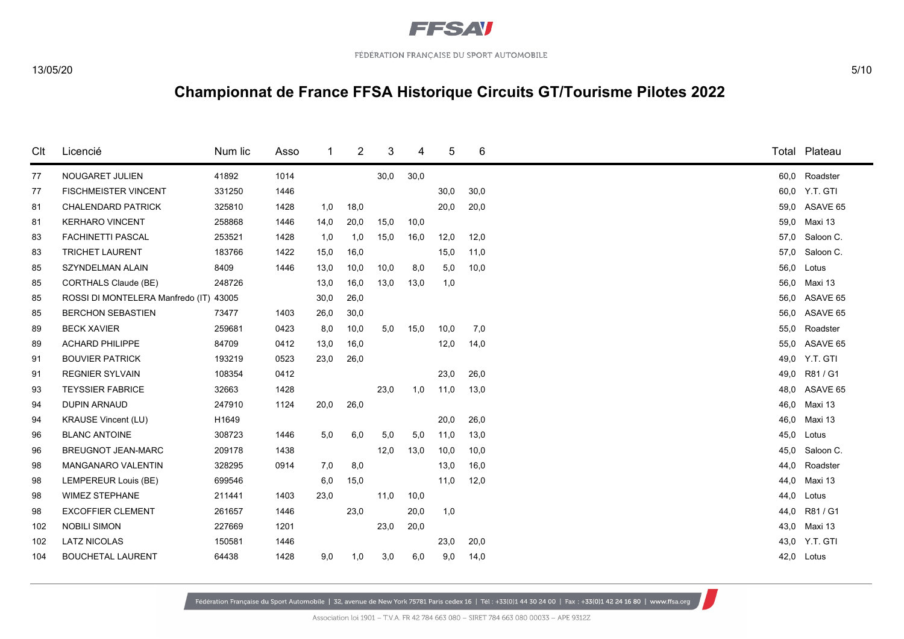

| Clt | Licencié                         | Num lic | Asso |      | $\overline{2}$ | 3    | 4    | 5    | 6    |      |      | Total Plateau |
|-----|----------------------------------|---------|------|------|----------------|------|------|------|------|------|------|---------------|
| 77  | NOUGARET JULIEN                  | 41892   | 1014 |      |                | 30,0 | 30,0 |      |      | 60,0 |      | Roadster      |
| 77  | <b>FISCHMEISTER VINCENT</b>      | 331250  | 1446 |      |                |      |      | 30,0 | 30,0 |      |      | 60.0 Y.T. GTI |
| 81  | <b>CHALENDARD PATRICK</b>        | 325810  | 1428 | 1,0  | 18,0           |      |      | 20,0 | 20,0 |      |      | 59,0 ASAVE 65 |
| 81  | <b>KERHARO VINCENT</b>           | 258868  | 1446 | 14,0 | 20,0           | 15,0 | 10,0 |      |      | 59,0 |      | Maxi 13       |
| 83  | <b>FACHINETTI PASCAL</b>         | 253521  | 1428 | 1,0  | 1,0            | 15,0 | 16,0 | 12,0 | 12,0 | 57,0 |      | Saloon C.     |
| 83  | <b>TRICHET LAURENT</b>           | 183766  | 1422 | 15,0 | 16,0           |      |      | 15,0 | 11,0 |      | 57.0 | Saloon C.     |
| 85  | SZYNDELMAN ALAIN                 | 8409    | 1446 | 13,0 | 10,0           | 10,0 | 8,0  | 5,0  | 10,0 |      | 56,0 | Lotus         |
| 85  | CORTHALS Claude (BE)             | 248726  |      | 13,0 | 16,0           | 13,0 | 13,0 | 1,0  |      | 56,0 |      | Maxi 13       |
| 85  | ROSSI DI MONTELERA Manfredo (IT) | 43005   |      | 30,0 | 26,0           |      |      |      |      |      | 56.0 | ASAVE 65      |
| 85  | <b>BERCHON SEBASTIEN</b>         | 73477   | 1403 | 26,0 | 30,0           |      |      |      |      | 56.0 |      | ASAVE 65      |
| 89  | <b>BECK XAVIER</b>               | 259681  | 0423 | 8,0  | 10,0           | 5,0  | 15,0 | 10,0 | 7,0  | 55,0 |      | Roadster      |
| 89  | <b>ACHARD PHILIPPE</b>           | 84709   | 0412 | 13,0 | 16,0           |      |      | 12,0 | 14,0 |      | 55.0 | ASAVE 65      |
| 91  | <b>BOUVIER PATRICK</b>           | 193219  | 0523 | 23,0 | 26,0           |      |      |      |      |      | 49,0 | Y.T. GTI      |
| 91  | <b>REGNIER SYLVAIN</b>           | 108354  | 0412 |      |                |      |      | 23,0 | 26,0 | 49,0 |      | R81 / G1      |
| 93  | <b>TEYSSIER FABRICE</b>          | 32663   | 1428 |      |                | 23,0 | 1,0  | 11,0 | 13,0 | 48.0 |      | ASAVE 65      |
| 94  | <b>DUPIN ARNAUD</b>              | 247910  | 1124 | 20,0 | 26,0           |      |      |      |      | 46,0 |      | Maxi 13       |
| 94  | <b>KRAUSE Vincent (LU)</b>       | H1649   |      |      |                |      |      | 20,0 | 26,0 | 46,0 |      | Maxi 13       |
| 96  | <b>BLANC ANTOINE</b>             | 308723  | 1446 | 5,0  | 6,0            | 5,0  | 5,0  | 11,0 | 13,0 | 45,0 |      | Lotus         |
| 96  | <b>BREUGNOT JEAN-MARC</b>        | 209178  | 1438 |      |                | 12,0 | 13,0 | 10,0 | 10,0 | 45,0 |      | Saloon C.     |
| 98  | <b>MANGANARO VALENTIN</b>        | 328295  | 0914 | 7,0  | 8,0            |      |      | 13,0 | 16,0 | 44.0 |      | Roadster      |
| 98  | LEMPEREUR Louis (BE)             | 699546  |      | 6,0  | 15,0           |      |      | 11,0 | 12,0 | 44,0 |      | Maxi 13       |
| 98  | <b>WIMEZ STEPHANE</b>            | 211441  | 1403 | 23,0 |                | 11,0 | 10,0 |      |      | 44,0 |      | Lotus         |
| 98  | <b>EXCOFFIER CLEMENT</b>         | 261657  | 1446 |      | 23,0           |      | 20,0 | 1,0  |      | 44,0 |      | R81 / G1      |
| 102 | <b>NOBILI SIMON</b>              | 227669  | 1201 |      |                | 23,0 | 20,0 |      |      | 43,0 |      | Maxi 13       |
| 102 | <b>LATZ NICOLAS</b>              | 150581  | 1446 |      |                |      |      | 23,0 | 20,0 |      | 43,0 | Y.T. GTI      |
| 104 | <b>BOUCHETAL LAURENT</b>         | 64438   | 1428 | 9,0  | 1,0            | 3,0  | 6,0  | 9,0  | 14,0 | 42,0 |      | Lotus         |
|     |                                  |         |      |      |                |      |      |      |      |      |      |               |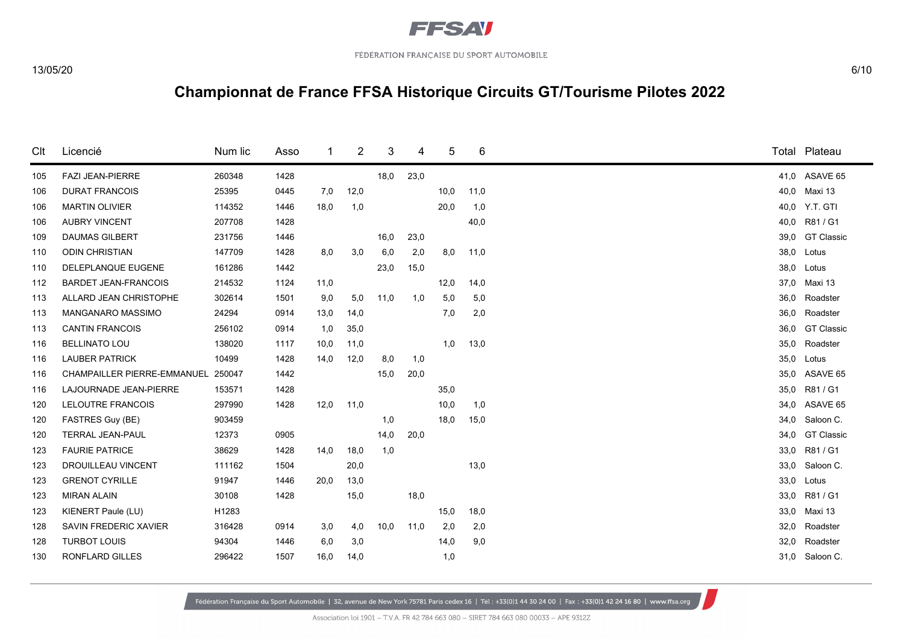

| Clt | Licencié                    | Num lic | Asso |      | 2    | 3    | 4    | 5    | 6    |      | Total Plateau     |
|-----|-----------------------------|---------|------|------|------|------|------|------|------|------|-------------------|
| 105 | <b>FAZI JEAN-PIERRE</b>     | 260348  | 1428 |      |      | 18,0 | 23,0 |      |      | 41.0 | ASAVE 65          |
| 106 | <b>DURAT FRANCOIS</b>       | 25395   | 0445 | 7,0  | 12,0 |      |      | 10,0 | 11,0 | 40,0 | Maxi 13           |
| 106 | <b>MARTIN OLIVIER</b>       | 114352  | 1446 | 18,0 | 1,0  |      |      | 20,0 | 1,0  | 40,0 | Y.T. GTI          |
| 106 | <b>AUBRY VINCENT</b>        | 207708  | 1428 |      |      |      |      |      | 40,0 | 40,0 | R81 / G1          |
| 109 | <b>DAUMAS GILBERT</b>       | 231756  | 1446 |      |      | 16,0 | 23,0 |      |      | 39,0 | <b>GT Classic</b> |
| 110 | <b>ODIN CHRISTIAN</b>       | 147709  | 1428 | 8,0  | 3,0  | 6,0  | 2,0  | 8,0  | 11,0 | 38.0 | Lotus             |
| 110 | DELEPLANQUE EUGENE          | 161286  | 1442 |      |      | 23,0 | 15,0 |      |      | 38,0 | Lotus             |
| 112 | <b>BARDET JEAN-FRANCOIS</b> | 214532  | 1124 | 11,0 |      |      |      | 12,0 | 14,0 | 37,0 | Maxi 13           |
| 113 | ALLARD JEAN CHRISTOPHE      | 302614  | 1501 | 9,0  | 5,0  | 11,0 | 1,0  | 5,0  | 5,0  | 36.0 | Roadster          |
| 113 | <b>MANGANARO MASSIMO</b>    | 24294   | 0914 | 13,0 | 14,0 |      |      | 7,0  | 2,0  | 36,0 | Roadster          |
| 113 | <b>CANTIN FRANCOIS</b>      | 256102  | 0914 | 1,0  | 35,0 |      |      |      |      | 36,0 | <b>GT Classic</b> |
| 116 | <b>BELLINATO LOU</b>        | 138020  | 1117 | 10,0 | 11,0 |      |      | 1,0  | 13,0 | 35,0 | Roadster          |
| 116 | <b>LAUBER PATRICK</b>       | 10499   | 1428 | 14,0 | 12,0 | 8,0  | 1,0  |      |      | 35,0 | Lotus             |
| 116 | CHAMPAILLER PIERRE-EMMANUEL | 250047  | 1442 |      |      | 15,0 | 20,0 |      |      | 35,0 | ASAVE 65          |
| 116 | LAJOURNADE JEAN-PIERRE      | 153571  | 1428 |      |      |      |      | 35,0 |      | 35.0 | R81 / G1          |
| 120 | LELOUTRE FRANCOIS           | 297990  | 1428 | 12,0 | 11,0 |      |      | 10,0 | 1,0  | 34.0 | ASAVE 65          |
| 120 | FASTRES Guy (BE)            | 903459  |      |      |      | 1,0  |      | 18,0 | 15,0 | 34,0 | Saloon C.         |
| 120 | TERRAL JEAN-PAUL            | 12373   | 0905 |      |      | 14,0 | 20,0 |      |      | 34.0 | <b>GT Classic</b> |
| 123 | <b>FAURIE PATRICE</b>       | 38629   | 1428 | 14,0 | 18,0 | 1,0  |      |      |      | 33,0 | R81 / G1          |
| 123 | <b>DROUILLEAU VINCENT</b>   | 111162  | 1504 |      | 20,0 |      |      |      | 13,0 | 33,0 | Saloon C.         |
| 123 | <b>GRENOT CYRILLE</b>       | 91947   | 1446 | 20,0 | 13,0 |      |      |      |      | 33,0 | Lotus             |
| 123 | <b>MIRAN ALAIN</b>          | 30108   | 1428 |      | 15,0 |      | 18,0 |      |      | 33,0 | R81 / G1          |
| 123 | KIENERT Paule (LU)          | H1283   |      |      |      |      |      | 15,0 | 18,0 | 33,0 | Maxi 13           |
| 128 | SAVIN FREDERIC XAVIER       | 316428  | 0914 | 3,0  | 4,0  | 10,0 | 11,0 | 2,0  | 2,0  | 32,0 | Roadster          |
| 128 | <b>TURBOT LOUIS</b>         | 94304   | 1446 | 6,0  | 3,0  |      |      | 14,0 | 9,0  | 32,0 | Roadster          |
| 130 | RONFLARD GILLES             | 296422  | 1507 | 16,0 | 14,0 |      |      | 1,0  |      |      | 31,0 Saloon C.    |
|     |                             |         |      |      |      |      |      |      |      |      |                   |

Fédération Française du Sport Automobile | 32, avenue de New York 75781 Paris cedex 16 | Tél: +33(0)1 44 30 24 00 | Fax: +33(0)1 42 24 16 80 | www.ffsa.org

Association loi 1901 - T.V.A. FR 42 784 663 080 - SIRET 784 663 080 00033 - APE 9312Z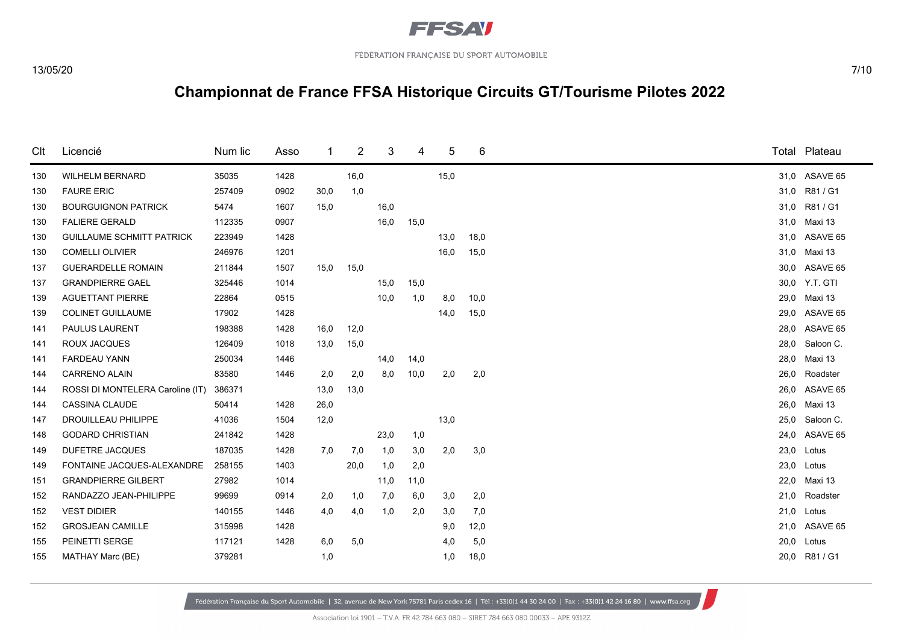

| Clt | Licencié                         | Num lic | Asso | 1    | 2    | 3    | 4    | 5    | 6    |      | Total Plateau |
|-----|----------------------------------|---------|------|------|------|------|------|------|------|------|---------------|
| 130 | <b>WILHELM BERNARD</b>           | 35035   | 1428 |      | 16,0 |      |      | 15,0 |      |      | 31,0 ASAVE 65 |
| 130 | <b>FAURE ERIC</b>                | 257409  | 0902 | 30,0 | 1,0  |      |      |      |      | 31,0 | R81 / G1      |
| 130 | <b>BOURGUIGNON PATRICK</b>       | 5474    | 1607 | 15,0 |      | 16,0 |      |      |      | 31,0 | R81 / G1      |
| 130 | <b>FALIERE GERALD</b>            | 112335  | 0907 |      |      | 16,0 | 15,0 |      |      | 31,0 | Maxi 13       |
| 130 | <b>GUILLAUME SCHMITT PATRICK</b> | 223949  | 1428 |      |      |      |      | 13,0 | 18,0 | 31,0 | ASAVE 65      |
| 130 | <b>COMELLI OLIVIER</b>           | 246976  | 1201 |      |      |      |      | 16,0 | 15,0 | 31.0 | Maxi 13       |
| 137 | <b>GUERARDELLE ROMAIN</b>        | 211844  | 1507 | 15,0 | 15,0 |      |      |      |      | 30.0 | ASAVE 65      |
| 137 | <b>GRANDPIERRE GAEL</b>          | 325446  | 1014 |      |      | 15,0 | 15,0 |      |      | 30.0 | Y.T. GTI      |
| 139 | <b>AGUETTANT PIERRE</b>          | 22864   | 0515 |      |      | 10,0 | 1,0  | 8,0  | 10,0 | 29,0 | Maxi 13       |
| 139 | <b>COLINET GUILLAUME</b>         | 17902   | 1428 |      |      |      |      | 14,0 | 15,0 | 29,0 | ASAVE 65      |
| 141 | PAULUS LAURENT                   | 198388  | 1428 | 16,0 | 12,0 |      |      |      |      | 28,0 | ASAVE 65      |
| 141 | <b>ROUX JACQUES</b>              | 126409  | 1018 | 13,0 | 15,0 |      |      |      |      | 28,0 | Saloon C.     |
| 141 | <b>FARDEAU YANN</b>              | 250034  | 1446 |      |      | 14,0 | 14,0 |      |      | 28,0 | Maxi 13       |
| 144 | <b>CARRENO ALAIN</b>             | 83580   | 1446 | 2,0  | 2,0  | 8,0  | 10,0 | 2,0  | 2,0  | 26,0 | Roadster      |
| 144 | ROSSI DI MONTELERA Caroline (IT) | 386371  |      | 13,0 | 13,0 |      |      |      |      | 26.0 | ASAVE 65      |
| 144 | <b>CASSINA CLAUDE</b>            | 50414   | 1428 | 26,0 |      |      |      |      |      | 26,0 | Maxi 13       |
| 147 | <b>DROUILLEAU PHILIPPE</b>       | 41036   | 1504 | 12,0 |      |      |      | 13,0 |      | 25,0 | Saloon C.     |
| 148 | <b>GODARD CHRISTIAN</b>          | 241842  | 1428 |      |      | 23,0 | 1,0  |      |      | 24.0 | ASAVE 65      |
| 149 | <b>DUFETRE JACQUES</b>           | 187035  | 1428 | 7,0  | 7,0  | 1,0  | 3,0  | 2,0  | 3,0  | 23,0 | Lotus         |
| 149 | FONTAINE JACQUES-ALEXANDRE       | 258155  | 1403 |      | 20,0 | 1,0  | 2,0  |      |      | 23,0 | Lotus         |
| 151 | <b>GRANDPIERRE GILBERT</b>       | 27982   | 1014 |      |      | 11,0 | 11,0 |      |      | 22,0 | Maxi 13       |
| 152 | RANDAZZO JEAN-PHILIPPE           | 99699   | 0914 | 2,0  | 1,0  | 7,0  | 6,0  | 3,0  | 2,0  | 21,0 | Roadster      |
| 152 | <b>VEST DIDIER</b>               | 140155  | 1446 | 4,0  | 4,0  | 1,0  | 2,0  | 3,0  | 7,0  | 21,0 | Lotus         |
| 152 | <b>GROSJEAN CAMILLE</b>          | 315998  | 1428 |      |      |      |      | 9,0  | 12,0 | 21.0 | ASAVE 65      |
| 155 | PEINETTI SERGE                   | 117121  | 1428 | 6,0  | 5,0  |      |      | 4,0  | 5,0  | 20,0 | Lotus         |
| 155 | MATHAY Marc (BE)                 | 379281  |      | 1,0  |      |      |      | 1,0  | 18,0 | 20,0 | R81 / G1      |
|     |                                  |         |      |      |      |      |      |      |      |      |               |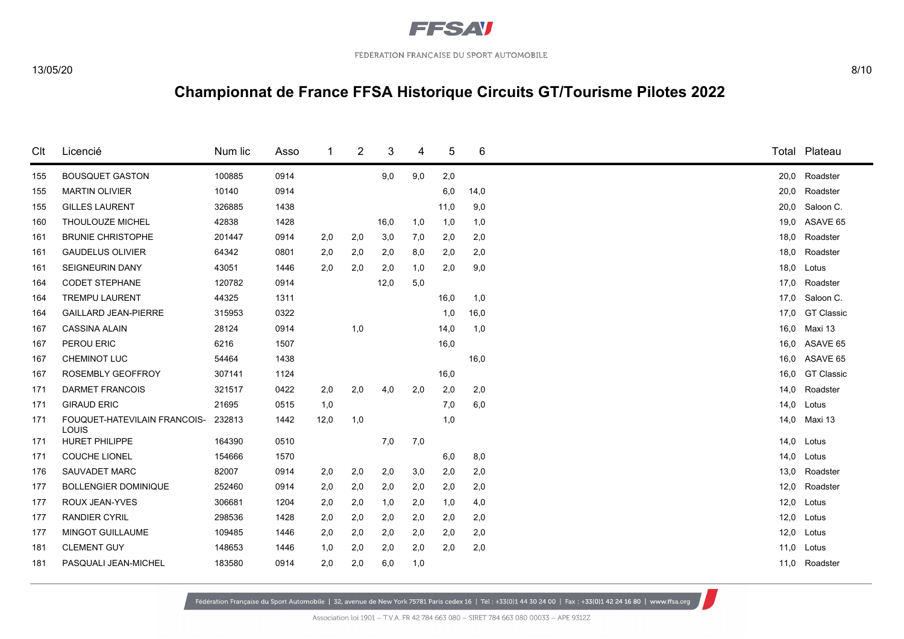

| Clt | Licencié                              | Num lic | Asso |      | 2   | 3    | 4   | 5    | 6    | Total | Plateau           |
|-----|---------------------------------------|---------|------|------|-----|------|-----|------|------|-------|-------------------|
| 155 | <b>BOUSQUET GASTON</b>                | 100885  | 0914 |      |     | 9,0  | 9,0 | 2,0  |      | 20,0  | Roadster          |
| 155 | <b>MARTIN OLIVIER</b>                 | 10140   | 0914 |      |     |      |     | 6,0  | 14,0 | 20,0  | Roadster          |
| 155 | <b>GILLES LAURENT</b>                 | 326885  | 1438 |      |     |      |     | 11,0 | 9,0  | 20,0  | Saloon C.         |
| 160 | THOULOUZE MICHEL                      | 42838   | 1428 |      |     | 16,0 | 1,0 | 1,0  | 1,0  | 19,0  | ASAVE 65          |
| 161 | <b>BRUNIE CHRISTOPHE</b>              | 201447  | 0914 | 2,0  | 2,0 | 3,0  | 7,0 | 2,0  | 2,0  | 18,0  | Roadster          |
| 161 | <b>GAUDELUS OLIVIER</b>               | 64342   | 0801 | 2,0  | 2,0 | 2,0  | 8,0 | 2,0  | 2,0  | 18,0  | Roadster          |
| 161 | <b>SEIGNEURIN DANY</b>                | 43051   | 1446 | 2,0  | 2,0 | 2,0  | 1,0 | 2,0  | 9,0  | 18,0  | Lotus             |
| 164 | <b>CODET STEPHANE</b>                 | 120782  | 0914 |      |     | 12,0 | 5,0 |      |      | 17,0  | Roadster          |
| 164 | <b>TREMPU LAURENT</b>                 | 44325   | 1311 |      |     |      |     | 16,0 | 1,0  | 17,0  | Saloon C.         |
| 164 | <b>GAILLARD JEAN-PIERRE</b>           | 315953  | 0322 |      |     |      |     | 1,0  | 16,0 | 17.0  | <b>GT Classic</b> |
| 167 | <b>CASSINA ALAIN</b>                  | 28124   | 0914 |      | 1,0 |      |     | 14,0 | 1,0  | 16,0  | Maxi 13           |
| 167 | PEROU ERIC                            | 6216    | 1507 |      |     |      |     | 16,0 |      | 16.0  | ASAVE 65          |
| 167 | CHEMINOT LUC                          | 54464   | 1438 |      |     |      |     |      | 16,0 | 16,0  | ASAVE 65          |
| 167 | <b>ROSEMBLY GEOFFROY</b>              | 307141  | 1124 |      |     |      |     | 16,0 |      | 16.0  | <b>GT Classic</b> |
| 171 | <b>DARMET FRANCOIS</b>                | 321517  | 0422 | 2,0  | 2,0 | 4,0  | 2,0 | 2,0  | 2,0  | 14,0  | Roadster          |
| 171 | <b>GIRAUD ERIC</b>                    | 21695   | 0515 | 1,0  |     |      |     | 7,0  | 6,0  | 14,0  | Lotus             |
| 171 | FOUQUET-HATEVILAIN FRANCOIS-<br>LOUIS | 232813  | 1442 | 12,0 | 1,0 |      |     | 1,0  |      | 14,0  | Maxi 13           |
| 171 | <b>HURET PHILIPPE</b>                 | 164390  | 0510 |      |     | 7,0  | 7,0 |      |      | 14,0  | Lotus             |
| 171 | <b>COUCHE LIONEL</b>                  | 154666  | 1570 |      |     |      |     | 6,0  | 8,0  | 14,0  | Lotus             |
| 176 | SAUVADET MARC                         | 82007   | 0914 | 2,0  | 2,0 | 2,0  | 3,0 | 2,0  | 2,0  | 13,0  | Roadster          |
| 177 | <b>BOLLENGIER DOMINIQUE</b>           | 252460  | 0914 | 2,0  | 2,0 | 2,0  | 2,0 | 2,0  | 2,0  | 12,0  | Roadster          |
| 177 | ROUX JEAN-YVES                        | 306681  | 1204 | 2,0  | 2,0 | 1,0  | 2,0 | 1,0  | 4,0  | 12,0  | Lotus             |
| 177 | <b>RANDIER CYRIL</b>                  | 298536  | 1428 | 2,0  | 2,0 | 2,0  | 2,0 | 2,0  | 2,0  | 12,0  | Lotus             |
| 177 | MINGOT GUILLAUME                      | 109485  | 1446 | 2,0  | 2,0 | 2,0  | 2,0 | 2,0  | 2,0  | 12,0  | Lotus             |
| 181 | <b>CLEMENT GUY</b>                    | 148653  | 1446 | 1,0  | 2,0 | 2,0  | 2,0 | 2,0  | 2,0  | 11,0  | Lotus             |
| 181 | PASQUALI JEAN-MICHEL                  | 183580  | 0914 | 2,0  | 2,0 | 6,0  | 1,0 |      |      | 11,0  | Roadster          |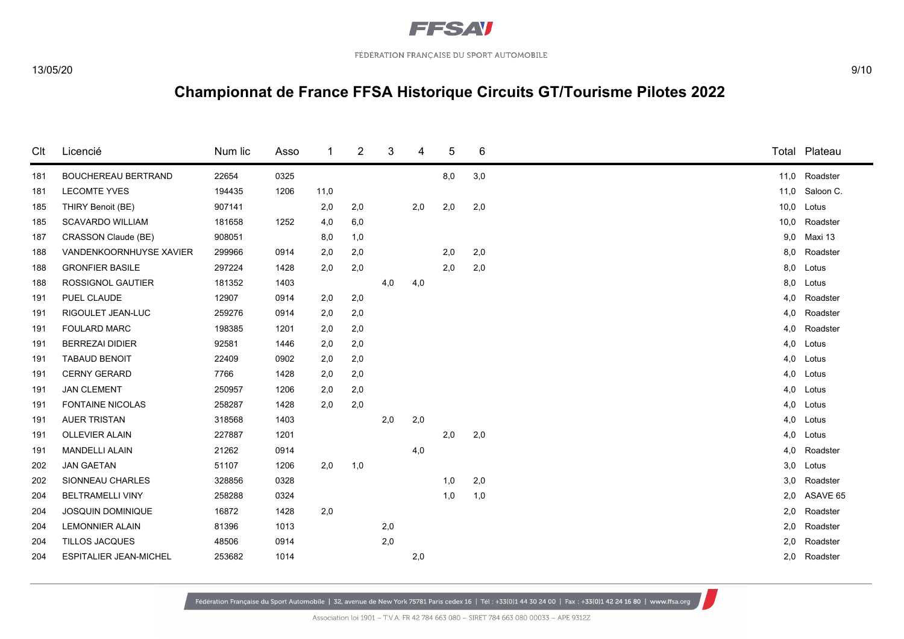

| Clt | Licencié                      | Num lic | Asso |      | 2   | 3   | 4   | 5   | 6   |      | Total Plateau |
|-----|-------------------------------|---------|------|------|-----|-----|-----|-----|-----|------|---------------|
| 181 | <b>BOUCHEREAU BERTRAND</b>    | 22654   | 0325 |      |     |     |     | 8,0 | 3,0 | 11,0 | Roadster      |
| 181 | <b>LECOMTE YVES</b>           | 194435  | 1206 | 11,0 |     |     |     |     |     | 11,0 | Saloon C.     |
| 185 | THIRY Benoit (BE)             | 907141  |      | 2,0  | 2,0 |     | 2,0 | 2,0 | 2,0 | 10,0 | Lotus         |
| 185 | <b>SCAVARDO WILLIAM</b>       | 181658  | 1252 | 4,0  | 6,0 |     |     |     |     | 10,0 | Roadster      |
| 187 | CRASSON Claude (BE)           | 908051  |      | 8,0  | 1,0 |     |     |     |     | 9,0  | Maxi 13       |
| 188 | VANDENKOORNHUYSE XAVIER       | 299966  | 0914 | 2,0  | 2,0 |     |     | 2,0 | 2,0 | 8,0  | Roadster      |
| 188 | <b>GRONFIER BASILE</b>        | 297224  | 1428 | 2,0  | 2,0 |     |     | 2,0 | 2,0 | 8,0  | Lotus         |
| 188 | <b>ROSSIGNOL GAUTIER</b>      | 181352  | 1403 |      |     | 4,0 | 4,0 |     |     | 8,0  | Lotus         |
| 191 | PUEL CLAUDE                   | 12907   | 0914 | 2,0  | 2,0 |     |     |     |     | 4,0  | Roadster      |
| 191 | RIGOULET JEAN-LUC             | 259276  | 0914 | 2,0  | 2,0 |     |     |     |     | 4,0  | Roadster      |
| 191 | <b>FOULARD MARC</b>           | 198385  | 1201 | 2,0  | 2,0 |     |     |     |     | 4,0  | Roadster      |
| 191 | <b>BERREZAI DIDIER</b>        | 92581   | 1446 | 2,0  | 2,0 |     |     |     |     | 4,0  | Lotus         |
| 191 | <b>TABAUD BENOIT</b>          | 22409   | 0902 | 2,0  | 2,0 |     |     |     |     | 4,0  | Lotus         |
| 191 | <b>CERNY GERARD</b>           | 7766    | 1428 | 2,0  | 2,0 |     |     |     |     | 4,0  | Lotus         |
| 191 | <b>JAN CLEMENT</b>            | 250957  | 1206 | 2,0  | 2,0 |     |     |     |     | 4,0  | Lotus         |
| 191 | <b>FONTAINE NICOLAS</b>       | 258287  | 1428 | 2,0  | 2,0 |     |     |     |     | 4,0  | Lotus         |
| 191 | <b>AUER TRISTAN</b>           | 318568  | 1403 |      |     | 2,0 | 2,0 |     |     | 4,0  | Lotus         |
| 191 | <b>OLLEVIER ALAIN</b>         | 227887  | 1201 |      |     |     |     | 2,0 | 2,0 | 4,0  | Lotus         |
| 191 | <b>MANDELLI ALAIN</b>         | 21262   | 0914 |      |     |     | 4,0 |     |     | 4,0  | Roadster      |
| 202 | <b>JAN GAETAN</b>             | 51107   | 1206 | 2,0  | 1,0 |     |     |     |     | 3,0  | Lotus         |
| 202 | SIONNEAU CHARLES              | 328856  | 0328 |      |     |     |     | 1,0 | 2,0 | 3,0  | Roadster      |
| 204 | <b>BELTRAMELLI VINY</b>       | 258288  | 0324 |      |     |     |     | 1,0 | 1,0 | 2,0  | ASAVE 65      |
| 204 | <b>JOSQUIN DOMINIQUE</b>      | 16872   | 1428 | 2,0  |     |     |     |     |     | 2,0  | Roadster      |
| 204 | <b>LEMONNIER ALAIN</b>        | 81396   | 1013 |      |     | 2,0 |     |     |     | 2,0  | Roadster      |
| 204 | <b>TILLOS JACQUES</b>         | 48506   | 0914 |      |     | 2,0 |     |     |     | 2,0  | Roadster      |
| 204 | <b>ESPITALIER JEAN-MICHEL</b> | 253682  | 1014 |      |     |     | 2,0 |     |     | 2,0  | Roadster      |
|     |                               |         |      |      |     |     |     |     |     |      |               |